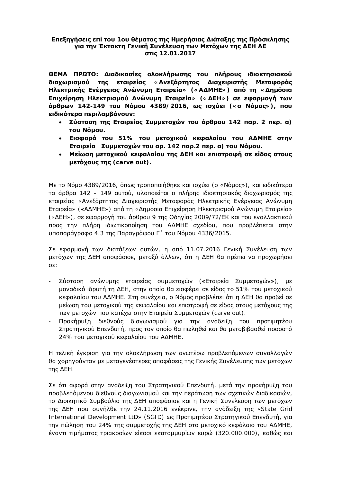#### **Επεξηγήσεις επί του 1ου θέματος της Ημερήσιας Διάταξης της Πρόσκλησης** για την Έκτακτη Γενική Συνέλευση των Μετόχων της ΔΕΗ ΑΕ *<u>otic</u>* 12.01.2017

**ΘΕΜΑ ΠΡΩΤΟ: Διαδικασίες ολοκλήρωσης του πλήρους ιδιοκτησιακού** διαχωρισμού της εταιρείας «Ανεξάρτητος Διαχειριστής Μεταφοράς Ηλεκτρικής Ενέργειας Ανώνυμη Εταιρεία» («ΑΔΜΗΕ») από τη «Δημόσια **Eπιχείρηση Ηλεκτρισμού Ανώνυμη Εταιρεία» («ΔΕΗ») σε εφαρμογή των ƾǏLJǏǔnj 142-149 IJǎǑ ƱǗNjǎǑ 4389/2016, ǔǐ LjıǒǘİLj («ǎ ƱǗNjǎǐ»), ȺǎǑ İLjįLjljǗIJİǏĮȺİǏLjNJĮNjǃƾnjǎǑnj:** 

- **Σύσταση της Εταιρείας Συμμετοχών του άρθρου 142 παρ. 2 περ. α) IZOU NOUOU.**
- **Εισφορά του** 51% του μετοχικού κεφαλαίου του ΑΔΜΗΕ στην **Eταιρεία Συμμετοχών του αρ**. 142 παρ.2 περ. α) του Νόμου.
- **Μείωση μετοχικού κεφαλαίου της ΔΕΗ και επιστροφή σε είδος στους NETOXOUC TRC** (carve out).

Mε το Nόμο 4389/2016, όπως τροποποιήθηκε και ισχύει (ο «Νόμος»), και ειδικότερα ITΟ άρθρα 142 – 149 αυτού, υλοποιείται ο πλήρης ιδιοκτησιακός διαχωρισμός της εταιρείας «Ανεξάρτητος Διαχειριστής Μεταφοράς Ηλεκτρικής Ενέργειας Ανώνυμη Eταιρεία» («AΔMHE») από τη «Δημόσια Επιχείρηση Ηλεκτρισμού Ανώνυμη Εταιρεία» («ΔΕΗ»), σε εφαρμογή του άρθρου 9 της Οδηγίας 2009/72/ΕΚ και του εναλλακτικού προς την πλήρη ιδιωτικοποίηση του ΑΔΜΗΕ σχεδίου, που προβλέπεται στην υποπαράγραφο 4.3 της Παραγράφου Γ' του Νόμου 4336/2015.

Σε εφαρμονή των διατάξεων αυτών, η από 11.07.2016 Γενική Συνέλευση των μετόχων της ΔΕΗ αποφάσισε, μεταξύ άλλων, ότι η ΔΕΗ θα πρέπει να προχωρήσει  $\sigma$ ε:

- Σύσταση ανώνυμης εταιρείας συμμετοχών («Εταιρεία Συμμετοχών»), με μοναδικό ιδρυτή τη ΔΕΗ, στην οποία θα εισφέρει σε είδος το 51% του μετοχικού κεφαλαίου του ΑΔΜΗΕ. Στη συνέχεια, ο Νόμος προβλέπει ότι η ΔΕΗ θα προβεί σε μείωση του μετοχικού της κεφαλαίου και επιστροφή σε είδος στους μετόχους της Tων μετοχών που κατέχει στην Εταιρεία Συμμετοχών (carve out).
- Προκήρυξη διεθνούς διαγωνισμού για την ανάδειξη του προτιμητέου Στρατηγικού Επενδυτή, προς τον οποίο θα πωληθεί και θα μεταβιβασθεί ποσοστό  $24\%$  του μετοχικού κεφαλαίου του ΑΔΜΗΕ.

Η τελική έγκριση για την ολοκλήρωση των ανωτέρω προβλεπόμενων συναλλαγών θα χορηγούνταν με μεταγενέστερες αποφάσεις της Γενικής Συνέλευσης των μετόχων της ΔΕΗ.

Σε ότι αφορά στην ανάδειξη του Στρατηγικού Επενδυτή, μετά την προκήρυξη του προβλεπόμενου διεθνούς διαγωνισμού και την περάτωση των σχετικών διαδικασιών, το Διοικητικό Συμβούλιο της ΔΕΗ αποφάσισε και η Γενική Συνέλευση των μετόχων Tης ΔΕΗ που συνήλθε την 24.11.2016 ενέκρινε, την ανάδειξη της «State Grid International Development LtD» (SGID) ως Προτιμητέου Στρατηγικού Επενδυτή, για Tην πώληση του 24% της συμμετοχής της ΔΕΗ στο μετοχικό κεφάλαιο του ΑΔΜΗΕ, έναντι τιμήματος τριακοσίων είκοσι εκατομμυρίων ευρώ (320.000.000), καθώς και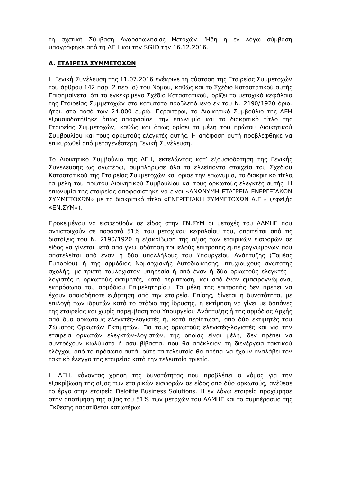τη σχετική Σύμβαση Αγοραπωλησίας Μετοχών. Ήδη η εν λόγω σύμβαση υπογράφηκε από τη ΔΕΗ και την SGID την 16.12.2016.

# **A. ETAIPEIA ΣΥΜΜΕΤΟΧΩΝ**

Η Γενική Συνέλευση της 11.07.2016 ενέκρινε τη σύσταση της Εταιρείας Συμμετοχών TOU άρθρου 142 παρ. 2 περ. α) του Νόμου, καθώς και το Σχέδιο Καταστατικού αυτής. Επισημαίνεται ότι το εγκεκριμένο Σχέδιο Καταστατικού, ορίζει το μετοχικό κεφάλαιο Ing Etaipείας Συμμετοχών στο κατώτατο προβλεπόμενο εκ του Ν. 2190/1920 όριο, ήτοι, στο ποσό των 24.000 ευρώ. Περαιτέρω, το Διοικητικό Συμβούλιο της ΔΕΗ εξουσιοδοτήθηκε όπως αποφασίσει την επωνυμία και το διακριτικό τίτλο της Εταιρείας Συμμετοχών, καθώς και όπως ορίσει τα μέλη του πρώτου Διοικητικού Συμβουλίου και τους ορκωτούς ελεγκτές αυτής. Η απόφαση αυτή προβλέφθηκε να επικυρωθεί από μεταγενέστερη Γενική Συνέλευση.

Το Διοικητικό Συμβούλιο της ΔΕΗ, εκτελώντας κατ' εξουσιοδότηση της Γενικής Συνέλευσης ως ανωτέρω, συμπλήρωσε όλα τα ελλείποντα στοιχεία του Σχεδίου Καταστατικού της Εταιρείας Συμμετοχών και όρισε την επωνυμία, το διακριτικό τίτλο, Τα μέλη του πρώτου Διοικητικού Συμβουλίου και τους ορκωτούς ελεγκτές αυτής. Η επωνυμία της εταιρείας αποφασίστηκε να είναι «ΑΝΩΝΥΜΗ ΕΤΑΙΡΕΙΑ ΕΝΕΡΓΕΙΑΚΩΝ ΣΥΜΜΕΤΟΧΩΝ» με το διακριτικό τίτλο «ΕΝΕΡΓΕΙΑΚΗ ΣΥΜΜΕΤΟΧΩΝ Α.Ε.» (εφεξής ©ƪƱƶƸư»).

Προκειμένου να εισφερθούν σε είδος στην ΕΝ.ΣΥΜ οι μετοχές του ΑΔΜΗΕ που αντιστοιχούν σε ποσοστό 51% του μετοχικού κεφαλαίου του, απαιτείται από τις διατάξεις του Ν. 2190/1920 η εξακρίβωση της αξίας των εταιρικών εισφορών σε είδος να γίνεται μετά από γνωμοδότηση τριμελούς επιτροπής εμπειρογνωμόνων που αποτελείται από έναν ή δύο υπαλλήλους του Υπουργείου Ανάπτυξης (Τομέας Eμπορίου) ή της αρμόδιας Νομαρχιακής Αυτοδιοίκησης, πτυχιούχους ανωτάτης σχολής, με τριετή τουλάχιστον υπηρεσία ή από έναν ή δύο ορκωτούς ελεγκτές λογιστές ή ορκωτούς εκτιμητές, κατά περίπτωση, και από έναν εμπειρογνώμονα, εκπρόσωπο του αρμόδιου Επιμελητηρίου. Τα μέλη της επιτροπής δεν πρέπει να έχουν οποιαδήποτε εξάρτηση από την εταιρεία. Επίσης, δίνεται η δυνατότητα, με επιλογή των ιδρυτών κατά το στάδιο της ίδρυσης, η εκτίμηση να γίνει με δαπάνες Ing εταιρείας και χωρίς παρέμβαση του Υπουργείου Ανάπτυξης ή της αρμόδιας Αρχής aπό δύο ορκωτούς ελεγκτές-λογιστές ή, κατά περίπτωση, από δύο εκτιμητές του Σώματος Ορκωτών Εκτιμητών. Για τους ορκωτούς ελεγκτές-λογιστές και για την εταιρεία ορκωτών ελεγκτών-λογιστών, της οποίας είναι μέλη, δεν πρέπει να συντρέχουν κωλύματα ή ασυμβίβαστα, που θα απέκλειαν τη διενέργεια τακτικού ελέγχου από τα πρόσωπα αυτά, ούτε τα τελευταία θα πρέπει να έχουν αναλάβει τον Tακτικό έλεγχο της εταιρείας κατά την τελευταία τριετία.

Η ΔΕΗ, κάνοντας χρήση της δυνατότητας που προβλέπει ο νόμος για την εξακρίβωση της αξίας των εταιρικών εισφορών σε είδος από δύο ορκωτούς, ανέθεσε TO έργο στην εταιρεία Deloitte Business Solutions. Η εν λόγω εταιρεία προχώρησε στην αποτίμηση της αξίας του 51% των μετοχών του ΑΔΜΗΕ και το συμπέρασμα της Έκθεσης παρατίθεται κατωτέρω: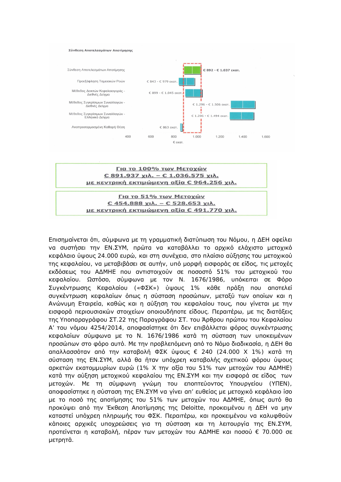

Για το 100% των Μετοχών € 891.937 χιλ. - € 1.036.575 χιλ. με κεντρική εκτιμώμενη αξία € 964.256 χιλ.

Για το 51% των Μετοχών  $C$  454.888  $X1\lambda$ . -  $C$  528.653  $X1\lambda$ . με κεντρική εκτιμώμενη αξία € 491.770 χιλ.

Eπισημαίνεται ότι, σύμφωνα με τη γραμματική διατύπωση του Νόμου, η ΔΕΗ οφείλει να συστήσει την ΕΝ.ΣΥΜ, πρώτα να καταβάλλει το αρχικό ελάχιστο μετοχικό kεφάλαιο ύψους 24.000 ευρώ, και στη συνέχεια, στο πλαίσιο αύξησης του μετοχικού Inς κεφαλαίου, να μεταβιβάσει σε αυτήν, υπό μορφή εισφοράς σε είδος, τις μετοχές εκδόσεως του ΑΔΜΗΕ που αντιστοιχούν σε ποσοστό 51% του μετοχικού του κεφαλαίου. Ωστόσο, σύμφωνα με τον Ν. 1676/1986, υπόκειται σε Φόρο Συγκέντρωσης Κεφαλαίου («ΦΣΚ») ύψους 1% κάθε πράξη που αποτελεί συγκέντρωση κεφαλαίων όπως η σύσταση προσώπων, μεταξύ των οποίων και η Aνώνυμη Εταιρεία, καθώς και η αύξηση του κεφαλαίου τους, που γίνεται με την εισφορά περιουσιακών στοιχείων οποιουδήποτε είδους. Περαιτέρω, με τις διατάξεις της Υποπαραγράφου ΣΤ.22 της Παραγράφου ΣΤ. του Άρθρου πρώτου του Κεφαλαίου A' του νόμου 4254/2014, αποφασίστηκε ότι δεν επιβάλλεται φόρος συγκέντρωσης κεφαλαίων σύμφωνα με το Ν. 1676/1986 κατά τη σύσταση των υποκειμένων προσώπων στο φόρο αυτό. Με την προβλεπόμενη από το Νόμο διαδικασία, η ΔΕΗ θα απαλλασσόταν από την καταβολή ΦΣΚ ύψους € 240 (24.000 Χ 1%) κατά τη σύσταση της ΕΝ.ΣΥΜ, αλλά θα ήταν υπόχρεη καταβολής σχετικού φόρου ύψους αρκετών εκατομμυρίων ευρώ (1% Χ την αξία του 51% των μετοχών του ΑΔΜΗΕ) κατά την αύξηση μετοχικού κεφαλαίου της ΕΝ.ΣΥΜ και την εισφορά σε είδος των μετοχών. Με τη σύμφωνη γνώμη του εποπτεύοντος Υπουργείου (ΥΠΕΝ), anοφασίστηκε η σύσταση της ΕΝ.ΣΥΜ να γίνει απ' ευθείας με μετοχικό κεφάλαιο ίσο με το ποσό της αποτίμησης του 51% των μετοχών του ΑΔΜΗΕ, όπως αυτό θα προκύψει από την Έκθεση Αποτίμησης της Deloitte, προκειμένου η ΔΕΗ να μην καταστεί υπόχρεη πληρωμής του ΦΣΚ. Περαιτέρω, και προκειμένου να καλυφθούν KΔΠΟΙΕΣ ΩΟΧΙΚΕΣ UΠΟΧΩΕώσεις VIA Τη σύσταση και τη λειτουργία της ΕΝ.ΣΥΜ, προτείνεται η καταβολή, πέραν των μετοχών του ΑΔΜΗΕ και ποσού € 70.000 σε μετρητά.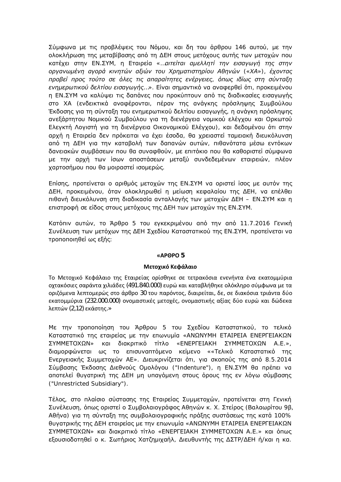Σύμφωνα με τις προβλέψεις του Νόμου, και δη του άρθρου 146 αυτού, με την ολοκλήρωση της μεταβίβασης από τη ΔΕΗ στους μετόχους αυτής των μετοχών που κατέχει στην ΕΝ.ΣΥΜ, η Εταιρεία «*…αιτείται αμελλητί την εισαγωγή της στην*  $\partial \rho \gamma$ ανωμένη αγορά κινητών αξιών του Χρηματιστηρίου Αθηνών («ΧΑ»), έχοντας  $\pi$ ροβεί προς τούτο σε όλες τις απαραίτητες ενέργειες, όπως ιδίως στη σύνταξη *ενημερωτικού δελτίου εισαγωγής*...». Είναι σημαντικό να αναφερθεί ότι, προκειμένου η ΕΝ.ΣΥΜ να καλύψει τις δαπάνες που προκύπτουν από τις διαδικασίες εισαγωγής στο ΧΑ (ενδεικτικά αναφέρονται, πέραν της ανάγκης πρόσληψης Συμβούλου Έκδοσης για τη σύνταξη του ενημερωτικού δελτίου εισαγωγής, η ανάγκη πρόσληψης ανεξάρτητου Νομικού Συμβούλου για τη διενέργεια νομικού ελέγχου και Ορκωτού Ελεγκτή Λογιστή για τη διενέργεια Οικονομικού Ελέγχου), και δεδομένου ότι στην αρχή η Εταιρεία δεν πρόκειται να έχει έσοδα, θα χρειαστεί ταμειακή διευκόλυνση από τη ΔΕΗ για την καταβολή των δαπανών αυτών, πιθανότατα μέσω εντόκων δανειακών συμβάσεων που θα συναφθούν, με επιτόκιο που θα καθοριστεί σύμφωνα με την αρχή των ίσων αποστάσεων μεταξύ συνδεδεμένων εταιρειών, πλέον χαρτοσήμου που θα μοιραστεί ισομερώς.

Eπίσης, προτείνεται ο αριθμός μετοχών της ΕΝ.ΣΥΜ να οριστεί ίσος με αυτόν της ΔΕΗ, προκειμένου, όταν ολοκληρωθεί η μείωση κεφαλαίου της ΔΕΗ, να επέλθει niθανή διευκόλυνση στη διαδικασία ανταλλαγής των μετοχών ΔΕΗ – ΕΝ.ΣΥΜ και η επιστροφή σε είδος στους μετόχους της ΔΕΗ των μετοχών της ΕΝ.ΣΥΜ.

Κατόπιν αυτών, το Άρθρο 5 του εγκεκριμένου από την από 11.7.2016 Γενική Συνέλευση των μετόχων της ΔΕΗ Σχεδίου Καταστατικού της ΕΝ.ΣΥΜ, προτείνεται να τροποποιηθεί ως εξής:

### **ͨȰɆȺɆɃ 5**

### **Μετοχικό Κεφάλαιο**

Το Μετοχικό Κεφάλαιο της Εταιρείας ορίσθηκε σε τετρακόσια ενενήντα ένα εκατομμύρια οχτακόσιες σαράντα χιλιάδες (491.840.000) ευρώ και καταβλήθηκε ολόκληρο σύμφωνα με τα oριζόμενα λεπτομερώς στο άρθρο 30 του παρόντος, διαιρείται, δε, σε διακόσια τριάντα δύο εκατομμύρια (232.000.000) ονομαστικές μετοχές, ονομαστικής αξίας δύο ευρώ και δώδεκα λεπτών (2,12) εκάστης.»

Με την τροποποίηση του Άρθρου 5 του Σχεδίου Καταστατικού, το τελικό Καταστατικό της εταιρείας με την επωνυμία «ΑΝΩΝΥΜΗ ΕΤΑΙΡΕΙΑ ΕΝΕΡΓΕΙΑΚΩΝ ΣΥΜΜΕΤΟΧΩΝ» και διακριτικό τίτλο «ΕΝΕΡΓΕΙΑΚΗ ΣΥΜΜΕΤΟΧΩΝ Α.Ε.»,  $\delta$ ιαμορφώνεται ως το επισυναπτόμενο κείμενο ««Τελικό Καταστατικό της Eνεργειακής Συμμετοχών AE». Διευκρινίζεται ότι, για σκοπούς της από 8.5.2014 Σύμβασης Έκδοσης Διεθνούς Ομολόγου ("Indenture"), η ΕΝ.ΣΥΜ θα πρέπει να αποτελεί θυγατρική της ΔΕΗ μη υπαγόμενη στους όρους της εν λόγω σύμβασης ("Unrestricted Subsidiary").

Τέλος, στο πλαίσιο σύστασης της Εταιρείας Συμμετοχών, προτείνεται στη Γενική Συνέλευση, όπως οριστεί ο Συμβολαιογράφος Αθηνών κ. Χ. Στείρος (Βαλαωρίτου 9β, Aθήνα) για τη σύνταξη της συμβολαιογραφικής πράξης συστάσεως της κατά 100% θυγατρικής της ΔΕΗ εταιρείας με την επωνυμία «ΑΝΩΝΥΜΗ ΕΤΑΙΡΕΙΑ ΕΝΕΡΓΕΙΑΚΩΝ ΣΥΜΜΕΤΟΧΩΝ» και διακριτικό τίτλο «ΕΝΕΡΓΕΙΑΚΗ ΣΥΜΜΕΤΟΧΩΝ Α.Ε.» και όπως εξουσιοδοτηθεί ο κ. Σωτήριος Χατζημιχαήλ, Διευθυντής της ΔΣΤΡ/ΔΕΗ ή/και η κα.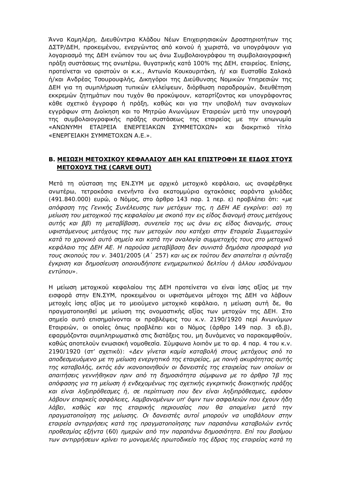Άννα Καμηλέρη, Διευθύντρια Κλάδου Νέων Επιχειρησιακών Δραστηριοτήτων της ΔΣΤΡ/ΔΕΗ, προκειμένου, ενεργώντας από κοινού ή χωριστά, να υπογράψουν για λογαριασμό της ΔΕΗ ενώπιον του ως άνω Συμβολαιογράφου τη συμβολαιογραφική πράξη συστάσεως της ανωτέρω, θυγατρικής κατά 100% της ΔΕΗ, εταιρείας. Επίσης, προτείνεται να οριστούν οι κ.κ., Αντωνία Κουκουριτάκη, ή/ και Ευσταθία Σαλακά ή/και Ανδρέας Τσουρουφλής, Δικηγόροι της Διεύθυνσης Νομικών Υπηρεσιών της ΔΕΗ για τη συμπλήρωση τυπικών ελλείψεων, διόρθωση παραδρομών, διευθέτηση εκκρεμών ζητημάτων που τυχόν θα προκύψουν, καταρτίζοντας και υπογράφοντας κάθε σχετικό έγγραφο ή πράξη, καθώς και για την υποβολή των αναγκαίων εγγράφων στη Διοίκηση και το Μητρώο Ανωνύμων Εταιρειών μετά την υπογραφή της συμβολαιογραφικής πράξης συστάσεως της εταιρείας με την επωνυμία «ΑΝΩΝΥΜΗ ΕΤΑΙΡΕΙΑ ΕΝΕΡΓΕΙΑΚΩΝ ΣΥΜΜΕΤΟΧΩΝ» και διακριτικό τίτλο «ENEPΓEIAKH ΣΥΜΜΕΤΟΧΩΝ Α.Ε.».

### **Β. ΜΕΙΩΣΗ ΜΕΤΟΧΙΚΟΥ ΚΕΦΑΛΑΙΟΥ ΔΕΗ ΚΑΙ ΕΠΙΣΤΡΟΦΗ ΣΕ ΕΙΔΟΣ ΣΤΟΥΣ ΜΕΤΟΧΟΥΣ ΤΗΣ** (CARVE OUT)

Μετά τη σύσταση της ΕΝ.ΣΥΜ με αρχικό μετοχικό κεφάλαιο, ως αναφέρθηκε ανωτέρω, τετρακόσια ενενήντα ένα εκατομμύρια οχτακόσιες σαράντα χιλιάδες (491.840.000) ευρώ, ο Νόμος, στο άρθρο 143 παρ. 1 περ. ε) προβλέπει ότι: «με *ĮȺǗijĮıdž IJdžǐ īİnjLjljǀǐ ƶǑnjƿNJİǑıdžǐ IJǔnj NjİIJǗǒǔnj IJdžǐ, dž ƩƪƬ Ƨƪ İDŽljǏǁnjİLj: ĮĮ) IJdž* μείωση του μετοχικού της κεφαλαίου με σκοπό την εις είδος διανομή στους μετόχους  $g$ *uτής και ββ) τη μεταβίβαση, συνεπεία της ως άνω εις είδος διανομής, στους* υφιστάμενους μετόχους της των μετοχών που κατέχει στην Εταιρεία Συμμετοχών kατά το χρονικό αυτό σημείο και κατά την αναλογία συμμετοχής τους στο μετοχικό *kεφάλαιο της ΔΕΗ ΑΕ. Η παρούσα μεταβίβαση δεν συνιστά δημόσια προσφορά για IOUς σκοπούς του V. 3401/2005 (Α' 257) και ως εκ τούτου δεν απαιτείται η σύνταξη* έγκριση και δημοσίευση οποιουδήποτε ενημερωτικού δελτίου ή άλλου ισοδύναμου *İnjIJǘȺǎǑ»*.

Η μείωση μετοχικού κεφαλαίου της ΔΕΗ προτείνεται να είναι ίσης αξίας με την εισφορά στην ΕΝ.ΣΥΜ, προκειμένου οι υφιστάμενοι μέτοχοι της ΔΕΗ να λάβουν μετοχές ίσης αξίας με το μειούμενο μετοχικό κεφάλαιο, η μείωση αυτή δε, θα πραγματοποιηθεί με μείωση της ονομαστικής αξίας των μετοχών της ΔΕΗ. Στο σημείο αυτό επισημαίνονται οι προβλέψεις του κ.ν. 2190/1920 περί Ανωνύμων Eταιρειών, οι οποίες όπως προβλέπει και ο Νόμος (άρθρο 149 παρ. 3 εδ.β), εφαρμόζονται συμπληρωματικά στις διατάξεις του, μη δυνάμενες να παρακαμφθούν, καθώς αποτελούν ενωσιακή νομοθεσία. Σύμφωνα λοιπόν με το αρ. 4 παρ. 4 του κ.ν. 2190/1920 (στ' σχετικό): «Δεν γίνεται καμία καταβολή στους μετόχους από το  $a$ ποδεσμευόμενο με τη μείωση ενεργητικό της εταιρείας, με ποινή ακυρότητας αυτής *IIIς καταβολής, εκτός εάν ικανοποιηθούν οι δανειστές της εταιρείας των οποίων οι*  $\alpha$ παιτήσεις γεννήθηκαν πριν από τη δημοσιότητα σύμφωνα με το άρθρο 7β της aπόφασης για τη μείωση ή ενδεχομένως της σχετικής εγκριτικής διοικητικής πράξης *kai είναι ληξιπρόθεσμες ή, σε περίπτωση που δεν είναι ληξιπρόθεσμες, εφόσον λάβουν επαρκείς ασφάλειες, λαμβανομένων υπ' όψιν των ασφαλειών που έχουν ήδη λάβει, καθώς και της εταιρικής περιουσίας που θα απομείνει μετά την*  $\eta$ ραγματοποίηση της μείωσης. Οι δανειστές αυτοί μπορούν να υποβάλουν στην *ΕΤΩΙΡΕΙΩ ΑΥΤΙΡΡήσΕΙς ΚΩΤΑ Της πραγματοποίησης των παραπάνω καταβολών εντός*  $\eta$ ροθεσμίας εξήντα (60) ημερών από την παραπάνω δημοσιότητα. Επί του βασίμου *των αντιρρήσεων κρίνει το μονομελές πρωτοδικείο της έδρας της εταιρείας κατά τη*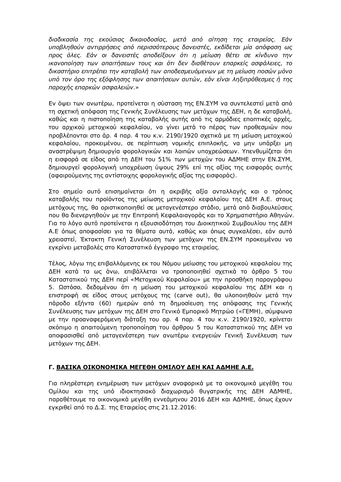διαδικασία της εκούσιας δικαιοδοσίας, μετά από αίτηση της εταιρείας. Εάν UΠΟβληθούν αντιρρήσεις από περισσότερους δανειστές, εκδίδεται μία απόφαση ως Προς όλες. Εάν οι δανειστές αποδείξουν ότι η μείωση θέτει σε κίνδυνο την *LKAVOΠΟΙΠΟΠ Των απαιτήσεων τους και ότι δεν διαθέτουν επαρκείς ασφάλειες, το* δικαστήριο επιτρέπει την καταβολή των αποδεσμευόμενων με τη μείωση ποσών μόνο UΠΟ ΤΟΥ ΟρΟ Της εξόφλησης των απαιτήσεων αυτών, εαν είναι ληξιπρόθεσμες ή της  $\eta$ παροχής επαρκών ασφαλειών.»

Eν όψει των ανωτέρω, προτείνεται η σύσταση της ΕΝ.ΣΥΜ να συντελεστεί μετά από τη σχετική απόφαση της Γενικής Συνέλευσης των μετόχων της ΔΕΗ, η δε καταβολή, καθώς και η πιστοποίηση της καταβολής αυτής από τις αρμόδιες εποπτικές αρχές, TOU αρχικού μετοχικού κεφαλαίου, να γίνει μετά το πέρας των προθεσμιών που προβλέπονται στο άρ. 4 παρ. 4 του κ.ν. 2190/1920 σχετικά με τη μείωση μετοχικού κεφαλαίου, προκειμένου, σε περίπτωση νομικής επιπλοκής, να μην υπάρξει μη αναστρέψιμη δημιουργία φορολογικών και λοιπών υποχρεώσεων. Υπενθυμίζεται ότι η εισφορά σε είδος από τη ΔΕΗ του 51% των μετοχών του ΑΔΜΗΕ στην ΕΝ.ΣΥΜ, δημιουργεί φορολογική υποχρέωση ύψους 29% επί της αξίας της εισφοράς αυτής (αφαιρούμενης της αντίστοιχης φορολογικής αξίας της εισφοράς).

Στο σημείο αυτό επισημαίνεται ότι η ακριβής αξία ανταλλαγής και ο τρόπος καταβολής του προϊόντος της μείωσης μετοχικού κεφαλαίου της ΔΕΗ Α.Ε. στους μετόχους της, θα οριστικοποιηθεί σε μεταγενέστερο στάδιο, μετά από διαβουλεύσεις που θα διενεργηθούν με την Επιτροπή Κεφαλαιαγοράς και το Χρηματιστήριο Αθηνών. Για το λόγο αυτό προτείνεται η εξουσιοδότηση του Διοικητικού Συμβουλίου της ΔΕΗ A.Ε όπως αποφασίσει για τα θέματα αυτά, καθώς και όπως συγκαλέσει, εάν αυτό χρειαστεί, Έκτακτη Γενική Συνέλευση των μετόχων της ΕΝ.ΣΥΜ προκειμένου να εγκρίνει μεταβολές στο Καταστατικό έγγραφο της εταιρείας.

Τέλος, λόγω της επιβαλλόμενης εκ του Νόμου μείωσης του μετοχικού κεφαλαίου της ΔΕΗ κατά τα ως άνω, επιβάλλεται να τροποποιηθεί σχετικά το άρθρο 5 του Kαταστατικού της ΔΕΗ περί «Μετοχικού Κεφαλαίου» με την προσθήκη παραγράφου 5. Ωστόσο, δεδομένου ότι η μείωση του μετοχικού κεφαλαίου της ΔΕΗ και η επιστροφή σε είδος στους μετόχους της (carve out), θα υλοποιηθούν μετά την πάροδο εξήντα (60) ημερών από τη δημοσίευση της απόφασης της Γενικής Συνέλευσης των μετόχων της ΔΕΗ στο Γενικό Εμπορικό Μητρώο («ΓΕΜΗ), σύμφωνα με την προαναφερόμενη διάταξη του αρ. 4 παρ. 4 του κ.ν. 2190/1920, κρίνεται σκόπιμο η απαιτούμενη τροποποίηση του άρθρου 5 του Καταστατικού της ΔΕΗ να αποφασισθεί από μεταγενέστερη των ανωτέρω ενεργειών Γενική Συνέλευση των μετόχων της ΔΕΗ.

# **Γ. ΒΑΣΙΚΑ ΟΙΚΟΝΟΜΙΚΑ ΜΕΓΕΘΗ ΟΜΙΛΟΥ ΔΕΗ ΚΑΙ ΑΔΜΗΕ Α.Ε.**

Για πληρέστερη ενημέρωση των μετόχων αναφορικά με τα οικονομικά μεγέθη του Ομίλου και της υπό ιδιοκτησιακό διαχωρισμό θυγατρικής της ΔΕΗ ΑΔΜΗΕ, παραθέτουμε τα οικονομικά μεγέθη εννεάμηνου 2016 ΔΕΗ και ΑΔΜΗΕ, όπως έχουν εγκριθεί από το Δ.Σ. της Εταιρείας στις 21.12.2016: